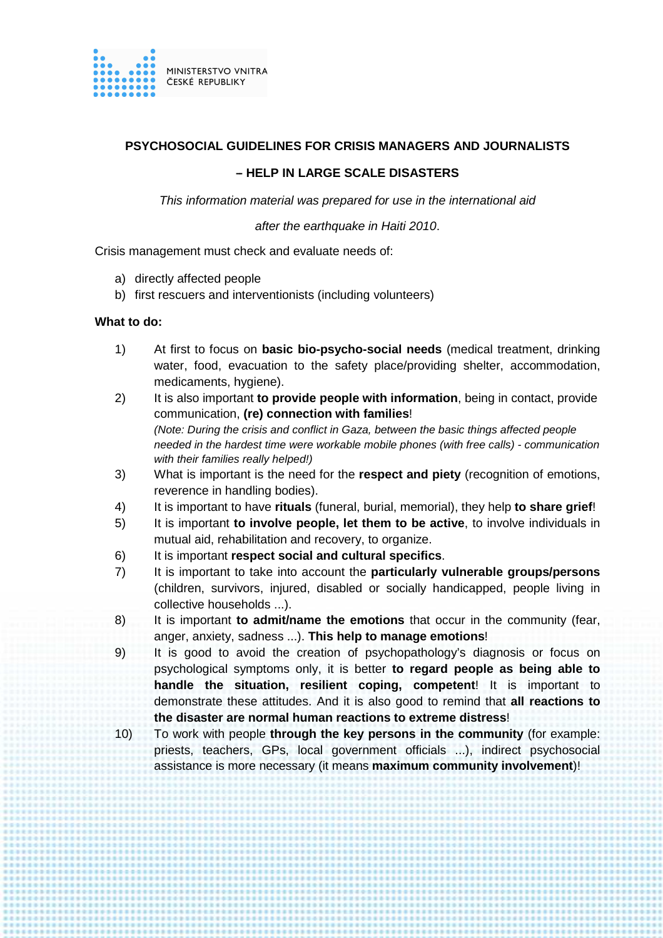

# **PSYCHOSOCIAL GUIDELINES FOR CRISIS MANAGERS AND JOURNALISTS**

# **– – HELP IN LARGE SCALE DISASTERS**

This information material was prepared for use in the international aid

after the earthquake in Haiti 2010.

Crisis management must check and evaluate needs of:

- a) directly affected people
- b) first rescuers and interventionists (including volunteers)

### **What to do:**

- 1) At first to focus on **basic bio-psycho-social needs** (medical treatment, drinking water, food, evacuation to the safety place/providing shelter, accommodation, medicaments, hygiene).
- 2) It is also important **to provide people with information**, being in contact, provide communication, **(re) connection with families**! (Note: During the crisis and conflict in Gaza, between the basic things affected people needed in the hardest time were workable mobile phones (with free calls) - communication with their families really helped!)
- 3) What is important is the need for the **respect and piety** (recognition of emotions emotions, reverence in handling bodies) bodies).
- 4) It is important to have **rituals** (funeral, burial, memorial), they help **to share grief**!
- 5) It is important **to involve people, let them to be active**, to involve individuals in mutual aid, rehabilitation and recovery, to organize.
- 6) It is important **respect social and cultural specifics** .
- 7) It is important to take into account the **particularly vulnerable groups/persons** (children, survivors, injured, disabled or socially handicapped, people living in collective households ...) ...).
- 8) It is important **to admit/name the emotions** that occur in the community (fear, anger, anxiety, sadness ...). **This help to manage emotions** !
- 9) It is good to avoid the creation of psychopathology's diagnosis or focus on psychological symptoms only, it is better to regard people as being able to handle the situation, resilient coping, competent! It is important to demonstrate these attitudes. And it is also good to remind that **all reactions to the disaster are normal human reactions to extreme distress** !
- 10) To work with people **through the key persons in the community** (for example: priests, teachers, GPs, local government officials ...), indirect psychosocial assistance is more necessary (it means **maximum community involvement** )!